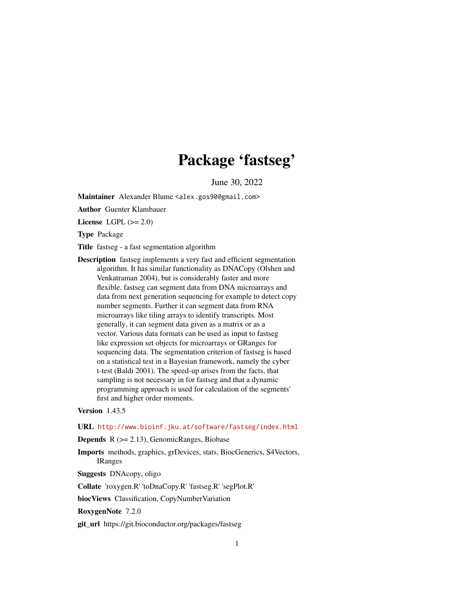## Package 'fastseg'

June 30, 2022

Maintainer Alexander Blume <alex.gos90@gmail.com>

Author Guenter Klambauer

License LGPL  $(>= 2.0)$ 

Type Package

Title fastseg - a fast segmentation algorithm

Description fastseg implements a very fast and efficient segmentation algorithm. It has similar functionality as DNACopy (Olshen and Venkatraman 2004), but is considerably faster and more flexible. fastseg can segment data from DNA microarrays and data from next generation sequencing for example to detect copy number segments. Further it can segment data from RNA microarrays like tiling arrays to identify transcripts. Most generally, it can segment data given as a matrix or as a vector. Various data formats can be used as input to fastseg like expression set objects for microarrays or GRanges for sequencing data. The segmentation criterion of fastseg is based on a statistical test in a Bayesian framework, namely the cyber t-test (Baldi 2001). The speed-up arises from the facts, that sampling is not necessary in for fastseg and that a dynamic programming approach is used for calculation of the segments' first and higher order moments.

#### Version 1.43.5

URL <http://www.bioinf.jku.at/software/fastseg/index.html>

**Depends**  $R$  ( $>= 2.13$ ), GenomicRanges, Biobase

Imports methods, graphics, grDevices, stats, BiocGenerics, S4Vectors, IRanges

Suggests DNAcopy, oligo

Collate 'roxygen.R' 'toDnaCopy.R' 'fastseg.R' 'segPlot.R'

biocViews Classification, CopyNumberVariation

RoxygenNote 7.2.0

git\_url https://git.bioconductor.org/packages/fastseg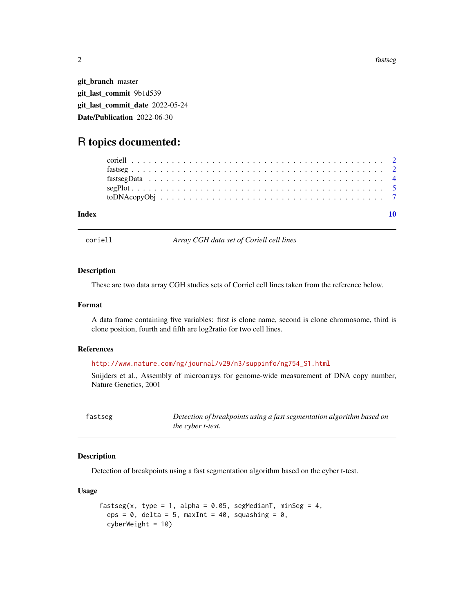2 fastseg

git\_branch master git\_last\_commit 9b1d539 git\_last\_commit\_date 2022-05-24 Date/Publication 2022-06-30

### R topics documented:

| Index |  |  |  |  |  |  |  |  |  |  |  |  |  |  |  |  |  |  |
|-------|--|--|--|--|--|--|--|--|--|--|--|--|--|--|--|--|--|--|

coriell *Array CGH data set of Coriell cell lines*

#### Description

These are two data array CGH studies sets of Corriel cell lines taken from the reference below.

#### Format

A data frame containing five variables: first is clone name, second is clone chromosome, third is clone position, fourth and fifth are log2ratio for two cell lines.

#### References

#### [http://www.nature.com/ng/journal/v29/n3/suppinfo/ng754\\_S1.html](http://www.nature.com/ng/journal/v29/n3/suppinfo/ng754_S1.html)

Snijders et al., Assembly of microarrays for genome-wide measurement of DNA copy number, Nature Genetics, 2001

fastseg *Detection of breakpoints using a fast segmentation algorithm based on the cyber t-test.*

#### Description

Detection of breakpoints using a fast segmentation algorithm based on the cyber t-test.

#### Usage

```
fastseg(x, type = 1, alpha = 0.05, segMedianT, minSeg = 4,
 eps = 0, delta = 5, maxInt = 40, squashing = 0,
 cyberWeight = 10)
```
<span id="page-1-0"></span>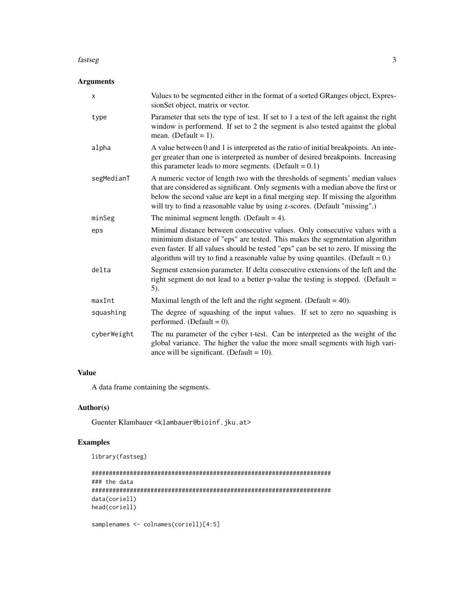#### fastseg 3

#### Arguments

| х           | Values to be segmented either in the format of a sorted GRanges object, Expres-<br>sionSet object, matrix or vector.                                                                                                                                                                                                                       |
|-------------|--------------------------------------------------------------------------------------------------------------------------------------------------------------------------------------------------------------------------------------------------------------------------------------------------------------------------------------------|
| type        | Parameter that sets the type of test. If set to 1 a test of the left against the right<br>window is performend. If set to 2 the segment is also tested against the global<br>mean. (Default = $1$ ).                                                                                                                                       |
| alpha       | A value between 0 and 1 is interpreted as the ratio of initial breakpoints. An inte-<br>ger greater than one is interpreted as number of desired breakpoints. Increasing<br>this parameter leads to more segments. (Default = $0.1$ )                                                                                                      |
| segMedianT  | A numeric vector of length two with the thresholds of segments' median values<br>that are considered as significant. Only segments with a median above the first or<br>below the second value are kept in a final merging step. If missing the algorithm<br>will try to find a reasonable value by using z-scores. (Default "missing".)    |
| minSeg      | The minimal segment length. (Default = $4$ ).                                                                                                                                                                                                                                                                                              |
| eps         | Minimal distance between consecutive values. Only consecutive values with a<br>minimium distance of "eps" are tested. This makes the segmentation algorithm<br>even faster. If all values should be tested "eps" can be set to zero. If missing the<br>algorithm will try to find a reasonable value by using quantiles. (Default = $0$ .) |
| delta       | Segment extension parameter. If delta consecutive extensions of the left and the<br>right segment do not lead to a better p-value the testing is stopped. (Default $=$<br>5).                                                                                                                                                              |
| maxInt      | Maximal length of the left and the right segment. (Default = $40$ ).                                                                                                                                                                                                                                                                       |
| squashing   | The degree of squashing of the input values. If set to zero no squashing is<br>performed. (Default = $0$ ).                                                                                                                                                                                                                                |
| cyberWeight | The nu parameter of the cyber t-test. Can be interpreted as the weight of the<br>global variance. The higher the value the more small segments with high vari-<br>ance will be significant. (Default = $10$ ).                                                                                                                             |

#### Value

A data frame containing the segments.

#### Author(s)

Guenter Klambauer <klambauer@bioinf.jku.at>

#### Examples

```
library(fastseg)
```

```
#####################################################################
### the data
#####################################################################
data(coriell)
head(coriell)
samplenames <- colnames(coriell)[4:5]
```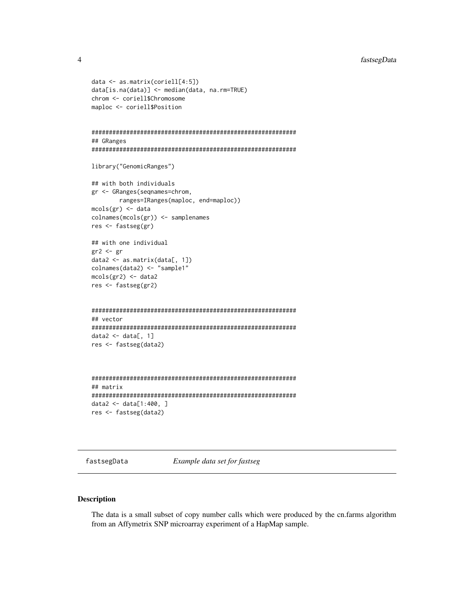#### fastsegData

```
data \leq as.matrix(coriell[4:5])
data[is.na(data)] <- median(data, na.rm=TRUE)
chrom <- coriell$Chromosome
maploc <- coriell$Position
## GRanges
library("GenomicRanges")
## with both individuals
gr <- GRanges(seqnames=chrom,
     ranges=IRanges(maploc, end=maploc))
mcols(gr) <- data
colnames(mcols(gr)) <- samplenames
res <- fastseg(gr)
## with one individual
gr2 \leftarrow grdata2 \leftarrow as_matrix(data[, 1])colnames(data2) <- "sample1"
mcols(gr2) < - data2res <- fastseg(gr2)
## vector
data2 <- data[, 1]
res <- fastseg(data2)
## matrix
data2 <- data[1:400, ]res <- fastseg(data2)
```
fastsegData

Example data set for fastseg

#### **Description**

The data is a small subset of copy number calls which were produced by the cn.farms algorithm from an Affymetrix SNP microarray experiment of a HapMap sample.

<span id="page-3-0"></span> $\overline{4}$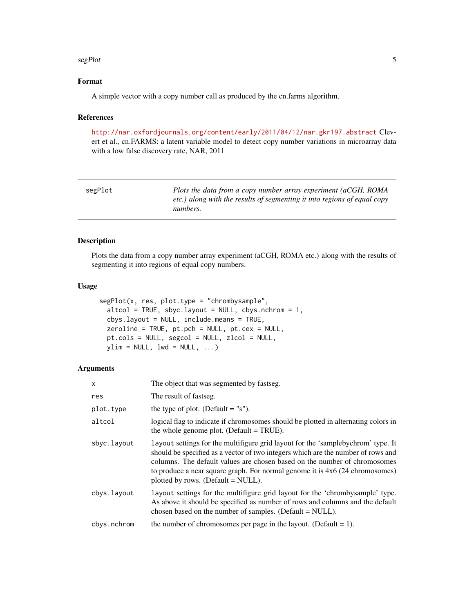#### <span id="page-4-0"></span> $s$ egPlot  $\sim$  5

#### Format

A simple vector with a copy number call as produced by the cn.farms algorithm.

#### References

<http://nar.oxfordjournals.org/content/early/2011/04/12/nar.gkr197.abstract> Clevert et al., cn.FARMS: a latent variable model to detect copy number variations in microarray data with a low false discovery rate, NAR, 2011

| segPlot | Plots the data from a copy number array experiment (aCGH, ROMA           |
|---------|--------------------------------------------------------------------------|
|         | etc.) along with the results of segmenting it into regions of equal copy |
|         | numbers.                                                                 |

#### Description

Plots the data from a copy number array experiment (aCGH, ROMA etc.) along with the results of segmenting it into regions of equal copy numbers.

#### Usage

```
segPlot(x, res, plot.type = "chrombysample",
 altcol = TRUE, sbyc.layout = NULL, cbys.nchrom = 1,cbys.layout = NULL, include.means = TRUE,
 zeroline = TRUE, pt.pch = NULL, pt.cex = NULL,
 pt.cols = NULL, segcol = NULL, zlcol = NULL,
 ylim = NULL, 1wd = NULL, \dots)
```
#### Arguments

| X           | The object that was segmented by fastseg.                                                                                                                                                                                                                                                                                                                                  |
|-------------|----------------------------------------------------------------------------------------------------------------------------------------------------------------------------------------------------------------------------------------------------------------------------------------------------------------------------------------------------------------------------|
| res         | The result of fastseg.                                                                                                                                                                                                                                                                                                                                                     |
| plot.type   | the type of plot. (Default $=$ "s").                                                                                                                                                                                                                                                                                                                                       |
| altcol      | logical flag to indicate if chromosomes should be plotted in alternating colors in<br>the whole genome plot. (Default $= TRUE$ ).                                                                                                                                                                                                                                          |
| sbyc.layout | layout settings for the multifigure grid layout for the 'samplebychrom' type. It<br>should be specified as a vector of two integers which are the number of rows and<br>columns. The default values are chosen based on the number of chromosomes<br>to produce a near square graph. For normal genome it is $4x6(24$ chromosomes)<br>plotted by rows. (Default $=$ NULL). |
| cbys.layout | layout settings for the multifigure grid layout for the 'chrombysample' type.<br>As above it should be specified as number of rows and columns and the default<br>chosen based on the number of samples. (Default = NULL).                                                                                                                                                 |
| cbys.nchrom | the number of chromosomes per page in the layout. (Default $= 1$ ).                                                                                                                                                                                                                                                                                                        |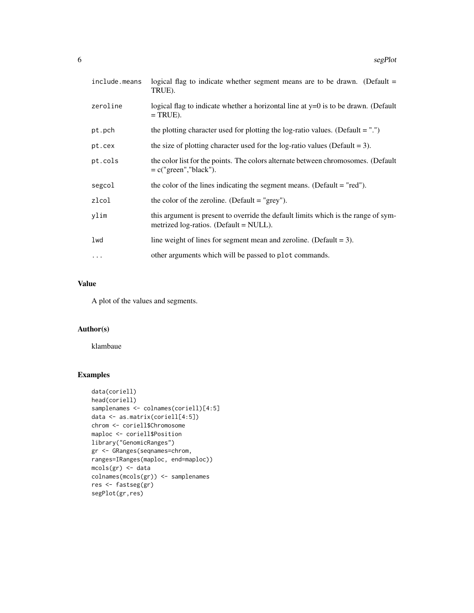| include.means | logical flag to indicate whether segment means are to be drawn. (Default $=$<br>TRUE).                                          |
|---------------|---------------------------------------------------------------------------------------------------------------------------------|
| zeroline      | logical flag to indicate whether a horizontal line at $y=0$ is to be drawn. (Default<br>$= TRUE$ ).                             |
| pt.pch        | the plotting character used for plotting the log-ratio values. (Default $=$ ".")                                                |
| pt.cex        | the size of plotting character used for the log-ratio values (Default = 3).                                                     |
| pt.cols       | the color list for the points. The colors alternate between chromosomes. (Default<br>$= c("green", "black").$                   |
| segcol        | the color of the lines indicating the segment means. (Default $=$ "red").                                                       |
| zlcol         | the color of the zeroline. (Default $=$ "grey").                                                                                |
| ylim          | this argument is present to override the default limits which is the range of sym-<br>metrized $log-ratios$ . (Default = NULL). |
| lwd           | line weight of lines for segment mean and zeroline. (Default $= 3$ ).                                                           |
| $\ddots$      | other arguments which will be passed to plot commands.                                                                          |

#### Value

A plot of the values and segments.

#### Author(s)

klambaue

#### Examples

```
data(coriell)
head(coriell)
samplenames <- colnames(coriell)[4:5]
data <- as.matrix(coriell[4:5])
chrom <- coriell$Chromosome
maploc <- coriell$Position
library("GenomicRanges")
gr <- GRanges(seqnames=chrom,
ranges=IRanges(maploc, end=maploc))
mcols(gr) <- data
colnames(mcols(gr)) <- samplenames
res <- fastseg(gr)
segPlot(gr,res)
```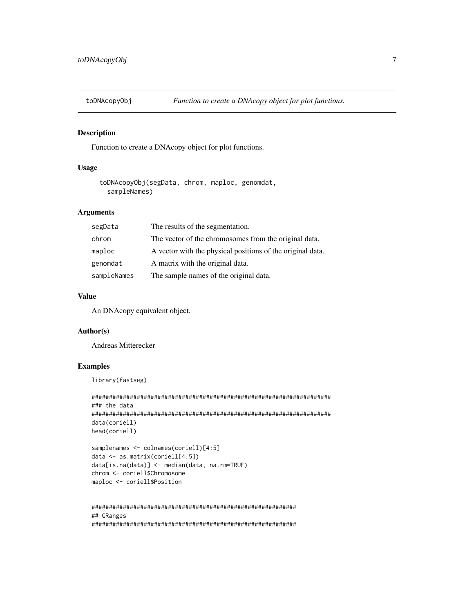<span id="page-6-0"></span>toDNAcopyObj

#### **Description**

Function to create a DNAcopy object for plot functions.

#### **Usage**

toDNAcopyObj(segData, chrom, maploc, genomdat, sampleNames)

#### **Arguments**

| segData     | The results of the segmentation.                           |
|-------------|------------------------------------------------------------|
| chrom       | The vector of the chromosomes from the original data.      |
| maploc      | A vector with the physical positions of the original data. |
| genomdat    | A matrix with the original data.                           |
| sampleNames | The sample names of the original data.                     |

#### **Value**

An DNAcopy equivalent object.

#### Author(s)

**Andreas Mitterecker** 

#### **Examples**

library(fastseg)

```
### the data
data(coriell)
head(coriell)
```

```
samplenames <- colnames(coriell)[4:5]
data \leq as.matrix(coriell[4:5])
data[is.na(data)] <- median(data, na.rm=TRUE)
chrom <- coriell$Chromosome
maploc <- coriell$Position
```

```
## GRanges
```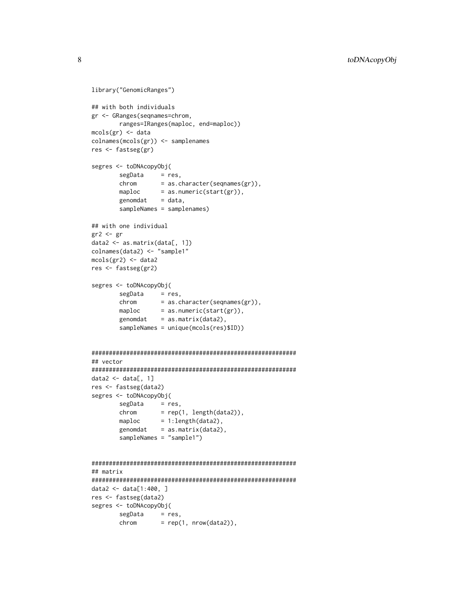```
library("GenomicRanges")
## with both individuals
gr <- GRanges(seqnames=chrom,
        ranges=IRanges(maploc, end=maploc))
mcols(gr) <- data
colnames(mcols(gr)) <- samplenames
res <- fastseg(gr)
segres <- toDNAcopyObj(
        segData = res,
        chrom = as.character(seqnames(gr)),
        chrom - as.character(sequalies)<br>maploc = as.numeric(start(gr)),
        genomdat = data,sampleNames = samplenames)
## with one individual
gr2 <- gr
data2 <- as.matrix(data[, 1])
colnames(data2) <- "sample1"
mcols(gr2) < - data2
res <- fastseg(gr2)
segres <- toDNAcopyObj(
         segData = res,
         chrom = as.character(seqnames(gr)),
        chrom = as.character(seqnames<sub>1)</sub><br>maploc = as.numeric(start(gr)),
        genomdat = as_matrix(data2),sampleNames = unique(mcols(res)$ID))
###########################################################
## vector
###########################################################
data2 \leq data[, 1]
res <- fastseg(data2)
segres <- toDNAcopyObj(
        segData = res,
        chrom = rep(1, length(data2)),chrom \begin{aligned} \text{maploc} \quad &= 1:\text{length}(\text{data2}), \end{aligned}genomdat = as_matrix(data2),sampleNames = "sample1")
###########################################################
## matrix
###########################################################
data2 <- data[1:400, ]
res <- fastseg(data2)
segres <- toDNAcopyObj(
         segData = res,
         chrom = rep(1, nrow(data2)),
```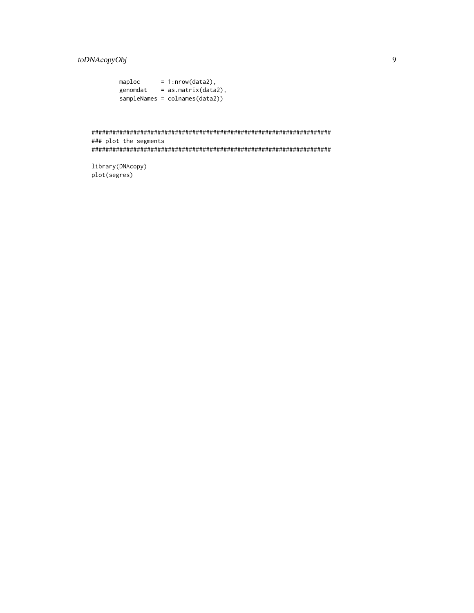toDNAcopyObj

| maploc   | $= 1:$ nrow(data2),             |
|----------|---------------------------------|
| genomdat | $=$ as.matrix(data2),           |
|          | $sampleNames = colnames(data2)$ |

### plot the segments 

library(DNAcopy) plot(segres)